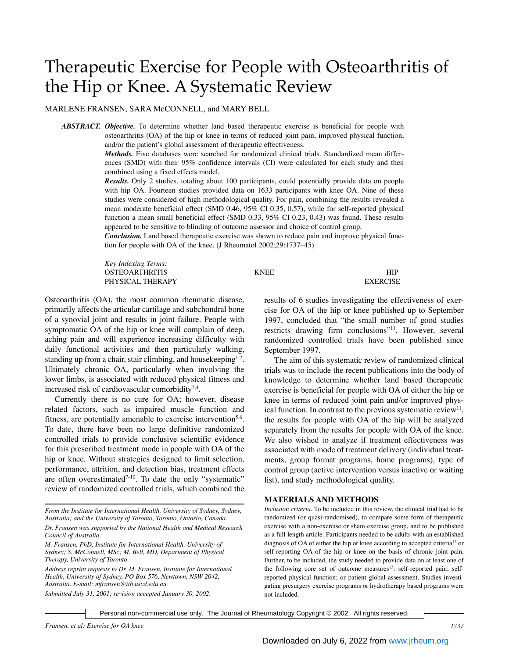# Therapeutic Exercise for People with Osteoarthritis of the Hip or Knee. A Systematic Review

MARLENE FRANSEN, SARA McCONNELL, and MARY BELL

*ABSTRACT. Objective.* To determine whether land based therapeutic exercise is beneficial for people with osteoarthritis (OA) of the hip or knee in terms of reduced joint pain, improved physical function, and/or the patient's global assessment of therapeutic effectiveness.

> *Methods.* Five databases were searched for randomized clinical trials. Standardized mean differences (SMD) with their 95% confidence intervals (CI) were calculated for each study and then combined using a fixed effects model.

> *Results.* Only 2 studies, totaling about 100 participants, could potentially provide data on people with hip OA. Fourteen studies provided data on 1633 participants with knee OA. Nine of these studies were considered of high methodological quality. For pain, combining the results revealed a mean moderate beneficial effect (SMD 0.46, 95% CI 0.35, 0.57), while for self-reported physical function a mean small beneficial effect (SMD 0.33, 95% CI 0.23, 0.43) was found. These results appeared to be sensitive to blinding of outcome assessor and choice of control group.

> *Conclusion.* Land based therapeutic exercise was shown to reduce pain and improve physical function for people with OA of the knee. (J Rheumatol 2002;29:1737–45)

*Key Indexing Terms:* OSTEOARTHRITIS KNEE HIP PHYSICAL THERAPY EXERCISE

Osteoarthritis (OA), the most common rheumatic disease, primarily affects the articular cartilage and subchondral bone of a synovial joint and results in joint failure. People with symptomatic OA of the hip or knee will complain of deep, aching pain and will experience increasing difficulty with daily functional activities and then particularly walking, standing up from a chair, stair climbing, and house keeping<sup>1,2</sup>. Ultimately chronic OA, particularly when involving the lower limbs, is associated with reduced physical fitness and increased risk of cardiovascular comorbidity $3,4$ .

Currently there is no cure for OA; however, disease related factors, such as impaired muscle function and fitness, are potentially amenable to exercise intervention<sup>5,6</sup>. To date, there have been no large definitive randomized controlled trials to provide conclusive scientific evidence for this prescribed treatment mode in people with OA of the hip or knee. Without strategies designed to limit selection, performance, attrition, and detection bias, treatment effects are often overestimated $7-10$ . To date the only "systematic" review of randomized controlled trials, which combined the

*Address reprint requests to Dr. M. Fransen, Institute for International Health, University of Sydney, PO Box 576, Newtown, NSW 2042, Australia. E-mail: mfransen@iih.usyd.edu.au*

*Submitted July 31, 2001; revision accepted January 30, 2002.*

results of 6 studies investigating the effectiveness of exercise for OA of the hip or knee published up to September 1997, concluded that "the small number of good studies restricts drawing firm conclusions"11. However, several randomized controlled trials have been published since September 1997.

The aim of this systematic review of randomized clinical trials was to include the recent publications into the body of knowledge to determine whether land based therapeutic exercise is beneficial for people with OA of either the hip or knee in terms of reduced joint pain and/or improved physical function. In contrast to the previous systematic review<sup>11</sup>, the results for people with OA of the hip will be analyzed separately from the results for people with OA of the knee. We also wished to analyze if treatment effectiveness was associated with mode of treatment delivery (individual treatments, group format programs, home programs), type of control group (active intervention versus inactive or waiting list), and study methodological quality.

#### **MATERIALS AND METHODS**

*Inclusion criteria.* To be included in this review, the clinical trial had to be randomized (or quasi-randomised), to compare some form of therapeutic exercise with a non-exercise or sham exercise group, and to be published as a full length article. Participants needed to be adults with an established diagnosis of OA of either the hip or knee according to accepted criteria<sup>12</sup> or self-reporting OA of the hip or knee on the basis of chronic joint pain. Further, to be included, the study needed to provide data on at least one of the following core set of outcome measures<sup>13</sup>: self-reported pain; selfreported physical function; or patient global assessment. Studies investigating presurgery exercise programs or hydrotherapy based programs were not included.

*From the Institute for International Health, University of Sydney, Sydney, Australia; and the University of Toronto, Toronto, Ontario, Canada. Dr. Fransen was supported by the National Health and Medical Research Council of Australia.*

*M. Fransen, PhD, Institute for International Health, University of Sydney; S. McConnell, MSc; M. Bell, MD, Department of Physical Therapy, University of Toronto.*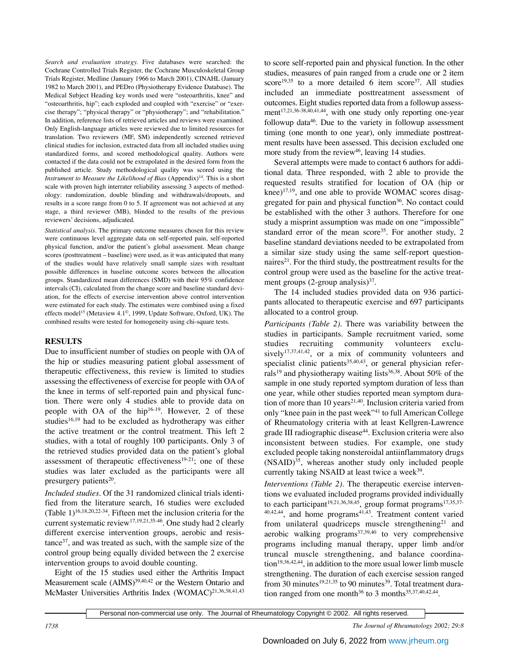*Search and evaluation strategy.* Five databases were searched: the Cochrane Controlled Trials Register, the Cochrane Musculoskeletal Group Trials Register, Medline (January 1966 to March 2001), CINAHL (January 1982 to March 2001), and PEDro (Physiotherapy Evidence Database). The Medical Subject Heading key words used were "osteoarthritis, knee" and "osteoarthritis, hip"; each exploded and coupled with "exercise" or "exercise therapy"; "physical therapy" or "physiotherapy"; and "rehabilitation." In addition, reference lists of retrieved articles and reviews were examined. Only English-language articles were reviewed due to limited resources for translation. Two reviewers (MF, SM) independently screened retrieved clinical studies for inclusion, extracted data from all included studies using standardized forms, and scored methodological quality. Authors were contacted if the data could not be extrapolated in the desired form from the published article. Study methodological quality was scored using the *Instrument to Measure the Likelihood of Bias* (Appendix)<sup>14</sup>. This is a short scale with proven high interrater reliability assessing 3 aspects of methodology: randomization, double blinding and withdrawals/dropouts, and results in a score range from 0 to 5. If agreement was not achieved at any stage, a third reviewer (MB), blinded to the results of the previous reviewers' decisions, adjudicated.

*Statistical analysis.* The primary outcome measures chosen for this review were continuous level aggregate data on self-reported pain, self-reported physical function, and/or the patient's global assessment. Mean change scores (posttreatment – baseline) were used, as it was anticipated that many of the studies would have relatively small sample sizes with resultant possible differences in baseline outcome scores between the allocation groups. Standardized mean differences (SMD) with their 95% confidence intervals (CI), calculated from the change score and baseline standard deviation, for the effects of exercise intervention above control intervention were estimated for each study. The estimates were combined using a fixed effects model<sup>15</sup> (Metaview 4.1<sup>®</sup>, 1999, Update Software, Oxford, UK). The combined results were tested for homogeneity using chi-square tests.

# **RESULTS**

Due to insufficient number of studies on people with OA of the hip or studies measuring patient global assessment of therapeutic effectiveness, this review is limited to studies assessing the effectiveness of exercise for people with OA of the knee in terms of self-reported pain and physical function. There were only 4 studies able to provide data on people with OA of the hip<sup>16-19</sup>. However, 2 of these studies<sup>16,19</sup> had to be excluded as hydrotherapy was either the active treatment or the control treatment. This left 2 studies, with a total of roughly 100 participants. Only 3 of the retrieved studies provided data on the patient's global assessment of therapeutic effectiveness $19-21$ ; one of these studies was later excluded as the participants were all presurgery patients $20$ .

*Included studies.* Of the 31 randomized clinical trials identified from the literature search, 16 studies were excluded (Table  $1$ )<sup>16,18,20,22-34</sup>. Fifteen met the inclusion criteria for the current systematic review<sup>17,19,21,35-46</sup>. One study had 2 clearly different exercise intervention groups, aerobic and resistance<sup>37</sup>, and was treated as such, with the sample size of the control group being equally divided between the 2 exercise intervention groups to avoid double counting.

Eight of the 15 studies used either the Arthritis Impact Measurement scale (AIMS)<sup>39,40,42</sup> or the Western Ontario and McMaster Universities Arthritis Index (WOMAC)<sup>21,36,38,41,43</sup>

to score self-reported pain and physical function. In the other studies, measures of pain ranged from a crude one or 2 item score<sup>19,35</sup> to a more detailed 6 item score<sup>37</sup>. All studies included an immediate posttreatment assessment of outcomes. Eight studies reported data from a followup assessment $17,21,36-38,40,41,44$ , with one study only reporting one-year followup data $46$ . Due to the variety in followup assessment timing (one month to one year), only immediate posttreatment results have been assessed. This decision excluded one more study from the review<sup>46</sup>, leaving 14 studies.

Several attempts were made to contact 6 authors for additional data. Three responded, with 2 able to provide the requested results stratified for location of OA (hip or knee)<sup>17,19</sup>, and one able to provide WOMAC scores disaggregated for pain and physical function $36$ . No contact could be established with the other 3 authors. Therefore for one study a misprint assumption was made on one "impossible" standard error of the mean score<sup>35</sup>. For another study, 2 baseline standard deviations needed to be extrapolated from a similar size study using the same self-report questionnaires<sup>21</sup>. For the third study, the posttreatment results for the control group were used as the baseline for the active treatment groups  $(2\text{-group analysis})^{37}$ .

The 14 included studies provided data on 936 participants allocated to therapeutic exercise and 697 participants allocated to a control group.

*Participants (Table 2).* There was variability between the studies in participants. Sample recruitment varied, some studies recruiting community volunteers exclusively<sup>17,37,41,42</sup>, or a mix of community volunteers and specialist clinic patients<sup>35,40,43</sup>, or general physician referrals<sup>19</sup> and physiotherapy waiting lists<sup>36,38</sup>. About 50% of the sample in one study reported symptom duration of less than one year, while other studies reported mean symptom duration of more than 10 years $21,40$ . Inclusion criteria varied from only "knee pain in the past week"41 to full American College of Rheumatology criteria with at least Kellgren-Lawrence grade III radiographic disease<sup>44</sup>. Exclusion criteria were also inconsistent between studies. For example, one study excluded people taking nonsteroidal antiinflammatory drugs  $(NSAID)^{35}$ , whereas another study only included people currently taking NSAID at least twice a week $39$ .

*Interventions (Table 2).* The therapeutic exercise interventions we evaluated included programs provided individually to each participant<sup>19,21,36,38,45</sup>, group format programs<sup>17,35,37-</sup>  $40,42,44$ , and home programs $41,43$ . Treatment content varied from unilateral quadriceps muscle strengthening<sup>21</sup> and aerobic walking programs $37,39,40$  to very comprehensive programs including manual therapy, upper limb and/or truncal muscle strengthening, and balance coordina- $\frac{\text{tion}^{19,36,42,44}}{\text{in addition}}$  to the more usual lower limb muscle strengthening. The duration of each exercise session ranged from 30 minutes $19,21,35$  to 90 minutes $39$ . Total treatment duration ranged from one month<sup>36</sup> to 3 months<sup>35,37,40,42,44</sup>.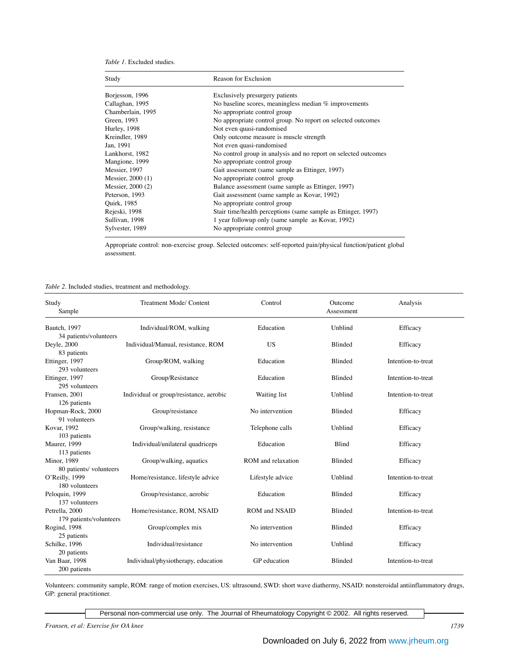*Table 1.* Excluded studies.

| Study              | Reason for Exclusion                                            |  |  |  |
|--------------------|-----------------------------------------------------------------|--|--|--|
| Borjesson, 1996    | Exclusively presurgery patients                                 |  |  |  |
| Callaghan, 1995    | No baseline scores, meaningless median $%$ improvements         |  |  |  |
| Chamberlain, 1995  | No appropriate control group                                    |  |  |  |
| Green, 1993        | No appropriate control group. No report on selected outcomes    |  |  |  |
| Hurley, 1998       | Not even quasi-randomised                                       |  |  |  |
| Kreindler, 1989    | Only outcome measure is muscle strength                         |  |  |  |
| Jan, 1991          | Not even quasi-randomised                                       |  |  |  |
| Lankhorst, 1982    | No control group in analysis and no report on selected outcomes |  |  |  |
| Mangione, 1999     | No appropriate control group                                    |  |  |  |
| Messier, 1997      | Gait assessment (same sample as Ettinger, 1997)                 |  |  |  |
| Messier, 2000 (1)  | No appropriate control group                                    |  |  |  |
| Messier, 2000 (2)  | Balance assessment (same sample as Ettinger, 1997)              |  |  |  |
| Peterson, 1993     | Gait assessment (same sample as Kovar, 1992)                    |  |  |  |
| <b>Ouirk, 1985</b> | No appropriate control group                                    |  |  |  |
| Rejeski, 1998      | Stair time/health perceptions (same sample as Ettinger, 1997)   |  |  |  |
| Sullivan, 1998     | 1 year followup only (same sample as Kovar, 1992)               |  |  |  |
| Sylvester, 1989    | No appropriate control group                                    |  |  |  |

Appropriate control: non-exercise group. Selected outcomes: self-reported pain/physical function/patient global assessment.

*Table 2.* Included studies, treatment and methodology.

| Study<br>Sample                    | Treatment Mode/ Content                 | Control              | Outcome<br>Assessment | Analysis           |
|------------------------------------|-----------------------------------------|----------------------|-----------------------|--------------------|
| Bautch, 1997                       | Individual/ROM, walking                 | Education            | Unblind               | Efficacy           |
| 34 patients/volunteers             |                                         |                      |                       |                    |
| Deyle, 2000                        | Individual/Manual, resistance, ROM      | <b>US</b>            | <b>Blinded</b>        | Efficacy           |
| 83 patients                        |                                         |                      |                       |                    |
| Ettinger, 1997                     | Group/ROM, walking                      | Education            | Blinded               | Intention-to-treat |
| 293 volunteers                     |                                         |                      |                       |                    |
| Ettinger, 1997                     | Group/Resistance                        | Education            | Blinded               | Intention-to-treat |
| 295 volunteers                     |                                         |                      |                       |                    |
| Fransen, 2001                      | Individual or group/resistance, aerobic | Waiting list         | Unblind               | Intention-to-treat |
| 126 patients                       |                                         |                      |                       |                    |
| Hopman-Rock, 2000<br>91 volunteers | Group/resistance                        | No intervention      | <b>Blinded</b>        | Efficacy           |
| Kovar, 1992                        | Group/walking, resistance               | Telephone calls      | Unblind               | Efficacy           |
| 103 patients                       |                                         |                      |                       |                    |
| <b>Maurer</b> , 1999               | Individual/unilateral quadriceps        | Education            | Blind                 | Efficacy           |
| 113 patients                       |                                         |                      |                       |                    |
| <b>Minor</b> , 1989                | Group/walking, aquatics                 | ROM and relaxation   | Blinded               | Efficacy           |
| 80 patients/ volunteers            |                                         |                      |                       |                    |
| O'Reilly, 1999                     | Home/resistance, lifestyle advice       | Lifestyle advice     | Unblind               | Intention-to-treat |
| 180 volunteers                     |                                         |                      |                       |                    |
| Peloquin, 1999                     | Group/resistance, aerobic               | Education            | <b>Blinded</b>        | Efficacy           |
| 137 volunteers                     |                                         |                      |                       |                    |
| Petrella, 2000                     | Home/resistance, ROM, NSAID             | <b>ROM</b> and NSAID | Blinded               | Intention-to-treat |
| 179 patients/volunteers            |                                         |                      |                       |                    |
| Rogind, 1998                       | Group/complex mix                       | No intervention      | <b>Blinded</b>        | Efficacy           |
| 25 patients                        |                                         |                      |                       |                    |
| Schilke, 1996                      | Individual/resistance                   | No intervention      | Unblind               | Efficacy           |
| 20 patients                        |                                         |                      |                       |                    |
| Van Baar, 1998                     | Individual/physiotherapy, education     | GP education         | Blinded               | Intention-to-treat |
| 200 patients                       |                                         |                      |                       |                    |

Volunteers: community sample, ROM: range of motion exercises, US: ultrasound, SWD: short wave diathermy, NSAID: nonsteroidal antiinflammatory drugs, GP: general practitioner.

Personal non-commercial use only. The Journal of Rheumatology Copyright © 2002. All rights reserved.

*Fransen, et al: Exercise for OA knee 1739*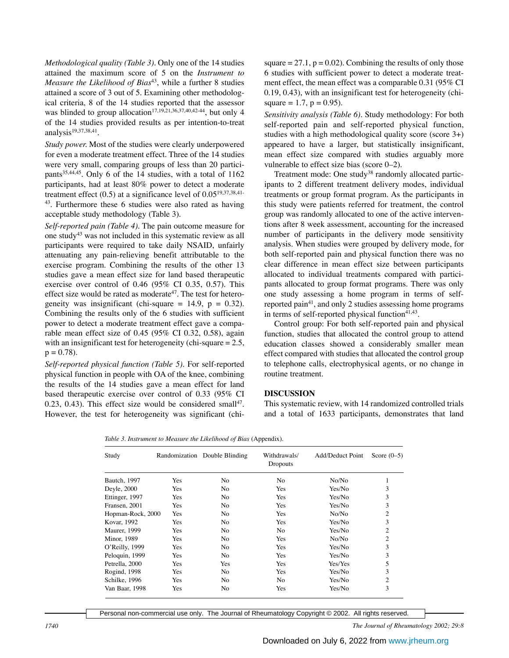*Methodological quality (Table 3).* Only one of the 14 studies attained the maximum score of 5 on the *Instrument to Measure the Likelihood of Bias<sup>43</sup>*, while a further 8 studies attained a score of 3 out of 5. Examining other methodological criteria, 8 of the 14 studies reported that the assessor was blinded to group allocation<sup>17,19,21,36,37,40,42-44</sup>, but only 4 of the 14 studies provided results as per intention-to-treat analysis<sup>19,37,38,41</sup>.

*Study power.* Most of the studies were clearly underpowered for even a moderate treatment effect. Three of the 14 studies were very small, comparing groups of less than 20 participants $35,44,45$ . Only 6 of the 14 studies, with a total of 1162 participants, had at least 80% power to detect a moderate treatment effect  $(0.5)$  at a significance level of  $0.05^{19,37,38,41}$ 43. Furthermore these 6 studies were also rated as having acceptable study methodology (Table 3).

*Self-reported pain (Table 4).* The pain outcome measure for one study43 was not included in this systematic review as all participants were required to take daily NSAID, unfairly attenuating any pain-relieving benefit attributable to the exercise program. Combining the results of the other 13 studies gave a mean effect size for land based therapeutic exercise over control of 0.46 (95% CI 0.35, 0.57). This effect size would be rated as moderate<sup>47</sup>. The test for heterogeneity was insignificant (chi-square  $= 14.9$ ,  $p = 0.32$ ). Combining the results only of the 6 studies with sufficient power to detect a moderate treatment effect gave a comparable mean effect size of 0.45 (95% CI 0.32, 0.58), again with an insignificant test for heterogeneity (chi-square = 2.5,  $p = 0.78$ .

*Self-reported physical function (Table 5).* For self-reported physical function in people with OA of the knee, combining the results of the 14 studies gave a mean effect for land based therapeutic exercise over control of 0.33 (95% CI  $0.23$ ,  $0.43$ ). This effect size would be considered small<sup>47</sup>. However, the test for heterogeneity was significant (chi-

square  $= 27.1$ ,  $p = 0.02$ ). Combining the results of only those 6 studies with sufficient power to detect a moderate treatment effect, the mean effect was a comparable 0.31 (95% CI 0.19, 0.43), with an insignificant test for heterogeneity (chisquare = 1.7,  $p = 0.95$ ).

*Sensitivity analysis (Table 6).* Study methodology: For both self-reported pain and self-reported physical function, studies with a high methodological quality score (score 3+) appeared to have a larger, but statistically insignificant, mean effect size compared with studies arguably more vulnerable to effect size bias (score 0–2).

Treatment mode: One study<sup>38</sup> randomly allocated participants to 2 different treatment delivery modes, individual treatments or group format program. As the participants in this study were patients referred for treatment, the control group was randomly allocated to one of the active interventions after 8 week assessment, accounting for the increased number of participants in the delivery mode sensitivity analysis. When studies were grouped by delivery mode, for both self-reported pain and physical function there was no clear difference in mean effect size between participants allocated to individual treatments compared with participants allocated to group format programs. There was only one study assessing a home program in terms of selfreported pain<sup>41</sup>, and only 2 studies assessing home programs in terms of self-reported physical function $41,43$ .

Control group: For both self-reported pain and physical function, studies that allocated the control group to attend education classes showed a considerably smaller mean effect compared with studies that allocated the control group to telephone calls, electrophysical agents, or no change in routine treatment.

### **DISCUSSION**

This systematic review, with 14 randomized controlled trials and a total of 1633 participants, demonstrates that land

*Table 3. Instrument to Measure the Likelihood of Bias* (Appendix).

| Study             |     | Randomization Double Blinding | Withdrawals/<br>Dropouts | Add/Deduct Point | Score $(0-5)$  |
|-------------------|-----|-------------------------------|--------------------------|------------------|----------------|
| Bautch, 1997      | Yes | No                            | No                       | No/No            | 1              |
| Deyle, 2000       | Yes | No.                           | <b>Yes</b>               | Yes/No           | 3              |
| Ettinger, 1997    | Yes | No                            | <b>Yes</b>               | Yes/No           | 3              |
| Fransen, 2001     | Yes | N <sub>0</sub>                | <b>Yes</b>               | Yes/No           | 3              |
| Hopman-Rock, 2000 | Yes | No                            | <b>Yes</b>               | No/No            | 2              |
| Kovar, 1992       | Yes | N <sub>0</sub>                | <b>Yes</b>               | Yes/No           | 3              |
| Maurer, 1999      | Yes | N <sub>0</sub>                | N <sub>0</sub>           | Yes/No           | $\overline{c}$ |
| Minor, 1989       | Yes | N <sub>0</sub>                | <b>Yes</b>               | No/No            | $\overline{c}$ |
| O'Reilly, 1999    | Yes | N <sub>0</sub>                | <b>Yes</b>               | Yes/No           | 3              |
| Peloquin, 1999    | Yes | N <sub>0</sub>                | Yes                      | Yes/No           | 3              |
| Petrella, 2000    | Yes | <b>Yes</b>                    | <b>Yes</b>               | Yes/Yes          | 5              |
| Rogind, 1998      | Yes | No                            | Yes                      | Yes/No           | 3              |
| Schilke, 1996     | Yes | No                            | No.                      | Yes/No           | $\overline{2}$ |
| Van Baar, 1998    | Yes | No                            | Yes                      | Yes/No           | 3              |

Personal non-commercial use only. The Journal of Rheumatology Copyright © 2002. All rights reserved.

*1740 The Journal of Rheumatology 2002; 29:8*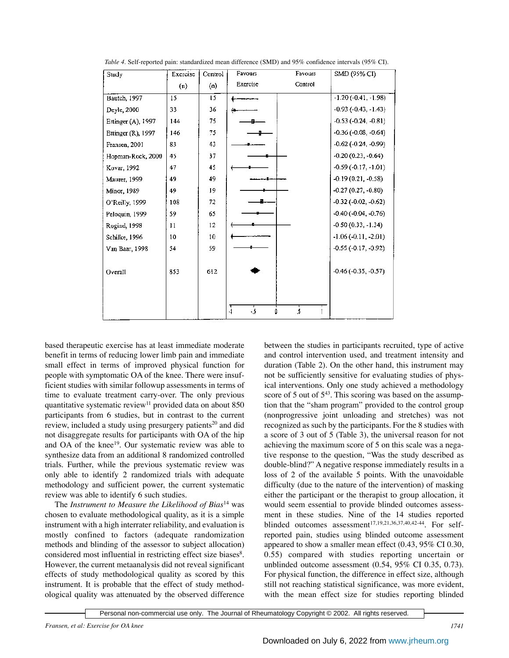| Study              | Exercise | Control | Favours                 | Favours        | SMD (95% CI)                  |
|--------------------|----------|---------|-------------------------|----------------|-------------------------------|
|                    | (n)      | (n)     | Exercise                | Control        |                               |
| Bautch, 1997       | 15       | 15      |                         |                | $-1.20$ ( $-0.41$ , $-1.98$ ) |
| Deyle, 2000        | 33       | 36      |                         |                | $-0.93$ $(-0.43, -1.43)$      |
| Ettinger (A), 1997 | 144      | 75      |                         |                | $-0.53(-0.24, -0.81)$         |
| Ettinger (R), 1997 | 146      | 75      |                         |                | $-0.36$ ( $-0.08$ , $-0.64$ ) |
| Fransen, 2001      | 83       | 43      |                         |                | $-0.62$ ( $-0.24$ , $-0.99$ ) |
| Hopman-Rock, 2000  | 45       | 37      |                         |                | $-0.20(0.23, -0.64)$          |
| Kovar, 1992        | 47       | 45      |                         |                | $-0.59(-0.17,-1.01)$          |
| Maurer, 1999       | 49       | 49      |                         |                | $-0.19(0.21, -0.58)$          |
| Minor, 1989        | 49       | 19      |                         |                | $-0.27(0.27, -0.80)$          |
| O'Reilly, 1999     | 108      | 72      |                         |                | $-0.32$ ( $-0.02$ , $-0.62$ ) |
| Peloquin, 1999     | 59       | 65      |                         |                | $-0.40(-0.04, -0.76)$         |
| Rogind, 1998       | П        | 12      |                         |                | $-0.50(0.33, -1.34)$          |
| Schilke, 1996      | 10       | 10      |                         |                | $-1.06(-0.11, -2.01)$         |
| Van Baar, 1998     | 54       | 59      |                         |                | $-0.55$ ( $-0.17, -0.92$ )    |
|                    |          |         |                         |                |                               |
| Overall            | 853      | 612     |                         |                | $-0.46$ ( $-0.35, -0.57$ )    |
|                    |          |         |                         |                |                               |
|                    |          |         |                         |                |                               |
|                    |          |         | $\frac{1}{2}$<br>4<br>û | $\overline{5}$ |                               |
|                    |          |         |                         |                |                               |

*Table 4.* Self-reported pain: standardized mean difference (SMD) and 95% confidence intervals (95% CI).

based therapeutic exercise has at least immediate moderate benefit in terms of reducing lower limb pain and immediate small effect in terms of improved physical function for people with symptomatic OA of the knee. There were insufficient studies with similar followup assessments in terms of time to evaluate treatment carry-over. The only previous quantitative systematic review<sup>11</sup> provided data on about  $850$ participants from 6 studies, but in contrast to the current review, included a study using presurgery patients<sup>20</sup> and did not disaggregate results for participants with OA of the hip and OA of the knee<sup>19</sup>. Our systematic review was able to synthesize data from an additional 8 randomized controlled trials. Further, while the previous systematic review was only able to identify 2 randomized trials with adequate methodology and sufficient power, the current systematic review was able to identify 6 such studies.

The *Instrument to Measure the Likelihood of Bias*<sup>14</sup> was chosen to evaluate methodological quality, as it is a simple instrument with a high interrater reliability, and evaluation is mostly confined to factors (adequate randomization methods and blinding of the assessor to subject allocation) considered most influential in restricting effect size biases<sup>8</sup>. However, the current metaanalysis did not reveal significant effects of study methodological quality as scored by this instrument. It is probable that the effect of study methodological quality was attenuated by the observed difference between the studies in participants recruited, type of active and control intervention used, and treatment intensity and duration (Table 2). On the other hand, this instrument may not be sufficiently sensitive for evaluating studies of physical interventions. Only one study achieved a methodology score of 5 out of  $5^{43}$ . This scoring was based on the assumption that the "sham program" provided to the control group (nonprogressive joint unloading and stretches) was not recognized as such by the participants. For the 8 studies with a score of 3 out of 5 (Table 3), the universal reason for not achieving the maximum score of 5 on this scale was a negative response to the question, "Was the study described as double-blind?" A negative response immediately results in a loss of 2 of the available 5 points. With the unavoidable difficulty (due to the nature of the intervention) of masking either the participant or the therapist to group allocation, it would seem essential to provide blinded outcomes assessment in these studies. Nine of the 14 studies reported blinded outcomes assessment<sup>17,19,21,36,37,40,42-44</sup>. For selfreported pain, studies using blinded outcome assessment appeared to show a smaller mean effect (0.43, 95% CI 0.30, 0.55) compared with studies reporting uncertain or unblinded outcome assessment (0.54, 95% CI 0.35, 0.73). For physical function, the difference in effect size, although still not reaching statistical significance, was more evident, with the mean effect size for studies reporting blinded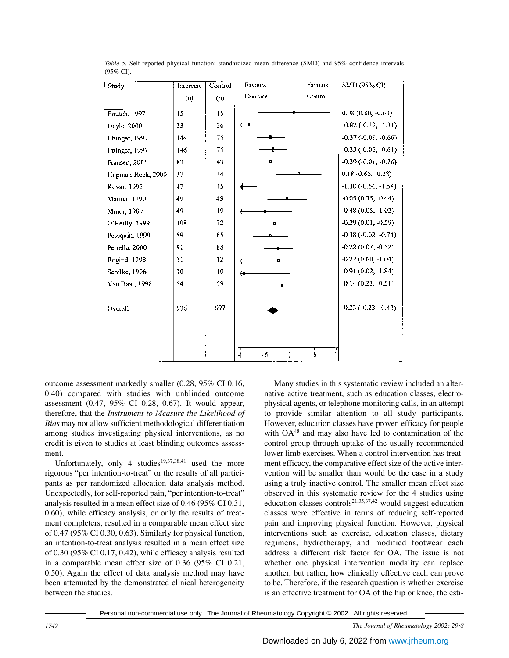| Study             | Exercise | Control | Favours              | Favours | SMD (95% CI)                  |
|-------------------|----------|---------|----------------------|---------|-------------------------------|
|                   | (n)      | (n)     | Exercise             | Control |                               |
| Bautch, 1997      | 15       | 15      |                      |         | $0.08(0.80, -0.63)$           |
|                   |          |         |                      |         |                               |
| Deyle, 2000       | 33       | 36      |                      |         | $-0.82$ $(-0.32, -1.31)$      |
| Ettinger, 1997    | 144      | 75      |                      |         | $-0.37$ $(-0.09, -0.66)$      |
| Ettinger, 1997    | 146      | 75      |                      |         | $-0.33$ $(-0.05, -0.61)$      |
| Fransen, 2001     | 83       | 43      |                      |         | $-0.39$ ( $-0.01$ , $-0.76$ ) |
| Hopman-Rock, 2000 | 37       | 34      |                      |         | $0.18(0.65, -0.28)$           |
| Kovar, 1992       | 47       | 45      |                      |         | $-1.10(-0.66, -1.54)$         |
| Maurer, 1999      | 49       | 49      |                      |         | $-0.05(0.35, -0.44)$          |
| Minor, 1989       | 49       | 19      |                      |         | $-0.48(0.05, -1.02)$          |
| O'Reilly, 1999    | 108      | 72      |                      |         | $-0.29(0.01, -0.59)$          |
| Peloquin, 1999    | 59       | 65      |                      |         | $-0.38(-0.02, -0.74)$         |
| Petrella, 2000    | 91       | 88      |                      |         | $-0.22$ (0.07, $-0.52$ )      |
| Rogind, 1998      | 11       | 12      |                      |         | $-0.22(0.60, -1.04)$          |
| Schilke, 1996     | 10       | 10      |                      |         | $-0.91(0.02, -1.84)$          |
| Van Baar, 1998    | 54       | 59      |                      |         | $-0.14(0.23, -0.51)$          |
|                   |          |         |                      |         |                               |
| Overall           | 936      | 697     |                      |         | $-0.33$ $(-0.23, -0.43)$      |
|                   |          |         |                      |         |                               |
|                   |          |         |                      |         |                               |
|                   |          |         |                      |         |                               |
|                   |          |         | $\cdot 5$<br>$\cdot$ | 5<br>Ũ  |                               |

*Table 5.* Self-reported physical function: standardized mean difference (SMD) and 95% confidence intervals (95% CI).

outcome assessment markedly smaller (0.28, 95% CI 0.16, 0.40) compared with studies with unblinded outcome assessment (0.47, 95% CI 0.28, 0.67). It would appear, therefore, that the *Instrument to Measure the Likelihood of Bias* may not allow sufficient methodological differentiation among studies investigating physical interventions, as no credit is given to studies at least blinding outcomes assessment.

Unfortunately, only 4 studies<sup>19,37,38,41</sup> used the more rigorous "per intention-to-treat" or the results of all participants as per randomized allocation data analysis method. Unexpectedly, for self-reported pain, "per intention-to-treat" analysis resulted in a mean effect size of 0.46 (95% CI 0.31, 0.60), while efficacy analysis, or only the results of treatment completers, resulted in a comparable mean effect size of 0.47 (95% CI 0.30, 0.63). Similarly for physical function, an intention-to-treat analysis resulted in a mean effect size of 0.30 (95% CI 0.17, 0.42), while efficacy analysis resulted in a comparable mean effect size of 0.36 (95% CI 0.21, 0.50). Again the effect of data analysis method may have been attenuated by the demonstrated clinical heterogeneity between the studies.

Many studies in this systematic review included an alternative active treatment, such as education classes, electrophysical agents, or telephone monitoring calls, in an attempt to provide similar attention to all study participants. However, education classes have proven efficacy for people with OA48 and may also have led to contamination of the control group through uptake of the usually recommended lower limb exercises. When a control intervention has treatment efficacy, the comparative effect size of the active intervention will be smaller than would be the case in a study using a truly inactive control. The smaller mean effect size observed in this systematic review for the 4 studies using education classes controls<sup>21,35,37,42</sup> would suggest education classes were effective in terms of reducing self-reported pain and improving physical function. However, physical interventions such as exercise, education classes, dietary regimens, hydrotherapy, and modified footwear each address a different risk factor for OA. The issue is not whether one physical intervention modality can replace another, but rather, how clinically effective each can prove to be. Therefore, if the research question is whether exercise is an effective treatment for OA of the hip or knee, the esti-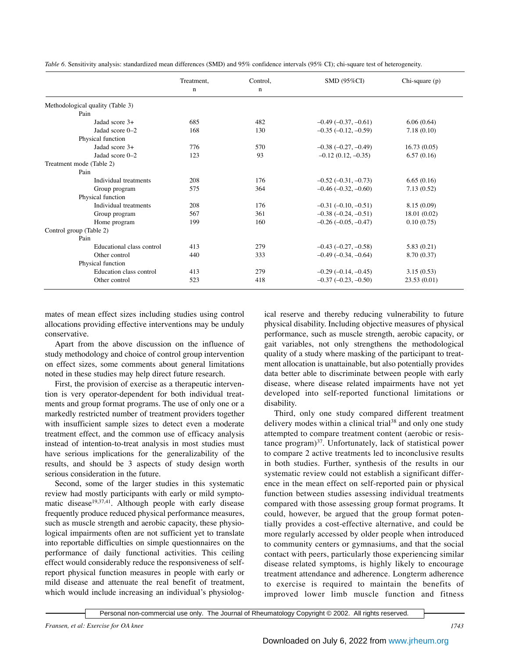|                                  | Treatment,  | Control.    | <b>SMD (95%CI)</b>            | Chi-square (p) |
|----------------------------------|-------------|-------------|-------------------------------|----------------|
|                                  | $\mathbf n$ | $\mathbf n$ |                               |                |
| Methodological quality (Table 3) |             |             |                               |                |
| Pain                             |             |             |                               |                |
| Jadad score 3+                   | 685         | 482         | $-0.49$ ( $-0.37, -0.61$ )    | 6.06(0.64)     |
| Jadad score 0-2                  | 168         | 130         | $-0.35$ $(-0.12, -0.59)$      | 7.18(0.10)     |
| Physical function                |             |             |                               |                |
| Jadad score 3+                   | 776         | 570         | $-0.38$ $(-0.27, -0.49)$      | 16.73(0.05)    |
| Jadad score 0-2                  | 123         | 93          | $-0.12(0.12, -0.35)$          | 6.57(0.16)     |
| Treatment mode (Table 2)         |             |             |                               |                |
| Pain                             |             |             |                               |                |
| Individual treatments            | 208         | 176         | $-0.52(-0.31,-0.73)$          | 6.65(0.16)     |
| Group program                    | 575         | 364         | $-0.46$ $(-0.32, -0.60)$      | 7.13(0.52)     |
| Physical function                |             |             |                               |                |
| Individual treatments            | 208         | 176         | $-0.31$ $(-0.10, -0.51)$      | 8.15(0.09)     |
| Group program                    | 567         | 361         | $-0.38$ $(-0.24, -0.51)$      | 18.01 (0.02)   |
| Home program                     | 199         | 160         | $-0.26$ ( $-0.05$ , $-0.47$ ) | 0.10(0.75)     |
| Control group (Table 2)          |             |             |                               |                |
| Pain                             |             |             |                               |                |
| Educational class control        | 413         | 279         | $-0.43$ $(-0.27, -0.58)$      | 5.83(0.21)     |
| Other control                    | 440         | 333         | $-0.49$ $(-0.34, -0.64)$      | 8.70 (0.37)    |
| Physical function                |             |             |                               |                |
| Education class control          | 413         | 279         | $-0.29(-0.14,-0.45)$          | 3.15(0.53)     |
| Other control                    | 523         | 418         | $-0.37(-0.23,-0.50)$          | 23.53(0.01)    |

*Table 6.* Sensitivity analysis: standardized mean differences (SMD) and 95% confidence intervals (95% CI); chi-square test of heterogeneity.

mates of mean effect sizes including studies using control allocations providing effective interventions may be unduly conservative.

Apart from the above discussion on the influence of study methodology and choice of control group intervention on effect sizes, some comments about general limitations noted in these studies may help direct future research.

First, the provision of exercise as a therapeutic intervention is very operator-dependent for both individual treatments and group format programs. The use of only one or a markedly restricted number of treatment providers together with insufficient sample sizes to detect even a moderate treatment effect, and the common use of efficacy analysis instead of intention-to-treat analysis in most studies must have serious implications for the generalizability of the results, and should be 3 aspects of study design worth serious consideration in the future.

Second, some of the larger studies in this systematic review had mostly participants with early or mild symptomatic disease<sup>19,37,41</sup>. Although people with early disease frequently produce reduced physical performance measures, such as muscle strength and aerobic capacity, these physiological impairments often are not sufficient yet to translate into reportable difficulties on simple questionnaires on the performance of daily functional activities. This ceiling effect would considerably reduce the responsiveness of selfreport physical function measures in people with early or mild disease and attenuate the real benefit of treatment, which would include increasing an individual's physiolog-

ical reserve and thereby reducing vulnerability to future physical disability. Including objective measures of physical performance, such as muscle strength, aerobic capacity, or gait variables, not only strengthens the methodological quality of a study where masking of the participant to treatment allocation is unattainable, but also potentially provides data better able to discriminate between people with early disease, where disease related impairments have not yet developed into self-reported functional limitations or disability.

Third, only one study compared different treatment delivery modes within a clinical trial<sup>38</sup> and only one study attempted to compare treatment content (aerobic or resistance program)37. Unfortunately, lack of statistical power to compare 2 active treatments led to inconclusive results in both studies. Further, synthesis of the results in our systematic review could not establish a significant difference in the mean effect on self-reported pain or physical function between studies assessing individual treatments compared with those assessing group format programs. It could, however, be argued that the group format potentially provides a cost-effective alternative, and could be more regularly accessed by older people when introduced to community centers or gymnasiums, and that the social contact with peers, particularly those experiencing similar disease related symptoms, is highly likely to encourage treatment attendance and adherence. Longterm adherence to exercise is required to maintain the benefits of improved lower limb muscle function and fitness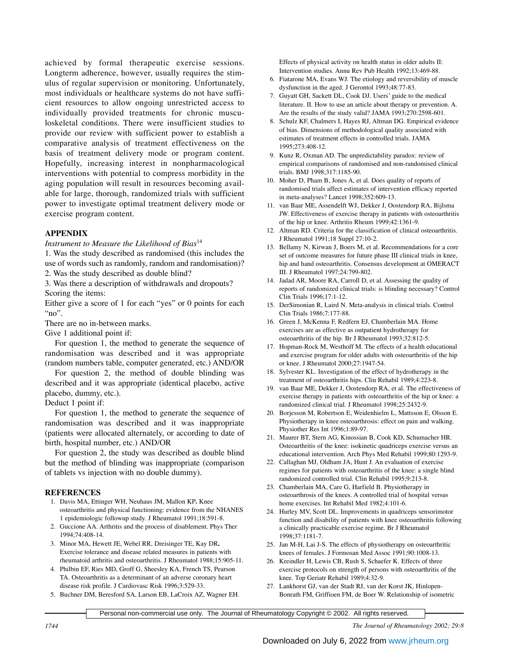achieved by formal therapeutic exercise sessions. Longterm adherence, however, usually requires the stimulus of regular supervision or monitoring. Unfortunately, most individuals or healthcare systems do not have sufficient resources to allow ongoing unrestricted access to individually provided treatments for chronic musculoskeletal conditions. There were insufficient studies to provide our review with sufficient power to establish a comparative analysis of treatment effectiveness on the basis of treatment delivery mode or program content. Hopefully, increasing interest in nonpharmacological interventions with potential to compress morbidity in the aging population will result in resources becoming available for large, thorough, randomized trials with sufficient power to investigate optimal treatment delivery mode or exercise program content.

# **APPENDIX**

*Instrument to Measure the Likelihood of Bias*<sup>14</sup>

1. Was the study described as randomised (this includes the use of words such as randomly, random and randomisation)? 2. Was the study described as double blind?

3. Was there a description of withdrawals and dropouts? Scoring the items:

Either give a score of 1 for each "yes" or 0 points for each " $no$ ".

There are no in-between marks.

Give 1 additional point if:

For question 1, the method to generate the sequence of randomisation was described and it was appropriate (random numbers table, computer generated, etc.) AND/OR

For question 2, the method of double blinding was described and it was appropriate (identical placebo, active placebo, dummy, etc.).

Deduct 1 point if:

For question 1, the method to generate the sequence of randomisation was described and it was inappropriate (patients were allocated alternately, or according to date of birth, hospital number, etc.) AND/OR

For question 2, the study was described as double blind but the method of blinding was inappropriate (comparison of tablets vs injection with no double dummy).

#### **REFERENCES**

- 1. Davis MA, Ettinger WH, Neuhaus JM, Mallon KP**.** Knee osteoarthritis and physical functioning: evidence from the NHANES 1 epidemiologic followup study. J Rheumatol 1991;18:591-8.
- 2. Guccione AA. Arthritis and the process of disablement. Phys Ther 1994;74:408-14.
- 3. Minor MA, Hewett JE, Webel RR, Dreisinger TE, Kay DR**.** Exercise tolerance and disease related measures in patients with rheumatoid arthritis and osteoarthritis. J Rheumatol 1988;15:905-11.
- 4. Philbin EF, Ries MD, Groff G, Sheesley KA, French TS, Pearson TA. Osteoarthritis as a determinant of an adverse coronary heart disease risk profile. J Cardiovasc Risk 1996;3:529-33.
- 5. Buchner DM, Beresford SA, Larson EB, LaCroix AZ, Wagner EH.

Effects of physical activity on health status in older adults II: Intervention studies. Annu Rev Pub Health 1992;13:469-88.

- 6. Fiatarone MA, Evans WJ. The etiology and reversibility of muscle dysfunction in the aged. J Gerontol 1993;48:77-83.
- 7. Guyatt GH, Sackett DL, Cook DJ. Users' guide to the medical literature. II. How to use an article about therapy or prevention. A. Are the results of the study valid? JAMA 1993;270:2598-601.
- 8. Schulz KF, Chalmers I, Hayes RJ, Altman DG. Empirical evidence of bias. Dimensions of methodological quality associated with estimates of treatment effects in controlled trials. JAMA 1995;273:408-12.
- 9. Kunz R, Oxman AD. The unpredictability paradox: review of empirical comparisons of randomised and non-randomised clinical trials. BMJ 1998;317:1185-90.
- 10. Moher D, Pham B, Jones A, et al. Does quality of reports of randomised trials affect estimates of intervention efficacy reported in meta-analyses? Lancet 1998;352:609-13.
- 11. van Baar ME, Assendelft WJ, Dekker J, Oostendorp RA, Bijlsma JW. Effectiveness of exercise therapy in patients with osteoarthritis of the hip or knee. Arthritis Rheum 1999;42:1361-9.
- 12. Altman RD. Criteria for the classification of clinical osteoarthritis. J Rheumatol 1991;18 Suppl 27:10-2.
- 13. Bellamy N, Kirwan J, Boers M, et al. Recommendations for a core set of outcome measures for future phase III clinical trials in knee, hip and hand osteoarthritis. Consensus development at OMERACT III. J Rheumatol 1997;24:799-802.
- 14. Jadad AR, Moore RA, Carroll D, et al. Assessing the quality of reports of randomized clinical trials: is blinding necessary? Control Clin Trials 1996;17:1-12.
- 15. DerSimonian R, Laird N. Meta-analysis in clinical trials. Control Clin Trials 1986;7:177-88.
- 16. Green J, McKenna F, Redfern EJ, Chamberlain MA. Home exercises are as effective as outpatient hydrotherapy for osteoarthritis of the hip. Br J Rheumatol 1993;32:812-5.
- 17. Hopman-Rock M, Westhoff M. The effects of a health educational and exercise program for older adults with osteoarthritis of the hip or knee. J Rheumatol 2000;27:1947-54.
- 18. Sylvester KL. Investigation of the effect of hydrotherapy in the treatment of osteoarthritis hips. Clin Rehabil 1989;4:223-8.
- 19. van Baar ME, Dekker J, Oostendorp RA, et al. The effectiveness of exercise therapy in patients with osteoarthritis of the hip or knee: a randomized clinical trial. J Rheumatol 1998;25:2432-9.
- 20. Borjesson M, Robertson E, Weidenhielm L, Mattsson E, Olsson E. Physiotherapy in knee osteoarthrosis: effect on pain and walking. Physiother Res Int 1996;1:89-97.
- 21. Maurer BT, Stern AG, Kinossian B, Cook KD, Schumacher HR. Osteoarthritis of the knee: isokinetic quadriceps exercise versus an educational intervention. Arch Phys Med Rehabil 1999;80:1293-9.
- 22. Callaghan MJ, Oldham JA, Hunt J. An evaluation of exercise regimes for patients with osteoarthritis of the knee: a single blind randomized controlled trial. Clin Rehabil 1995;9:213-8.
- 23. Chamberlain MA, Care G, Harfield B. Physiotherapy in osteoarthrosis of the knees. A controlled trial of hospital versus home exercises. Int Rehabil Med 1982;4:101-6.
- 24. Hurley MV, Scott DL. Improvements in quadriceps sensorimotor function and disability of patients with knee osteoarthritis following a clinically practicable exercise regime. Br J Rheumatol 1998;37:1181-7.
- 25. Jan M-H, Lai J-S. The effects of physiotherapy on osteoarthritic knees of females. J Formosan Med Assoc 1991;90:1008-13.
- 26. Kreindler H, Lewis CB, Rush S, Schaefer K. Effects of three exercise protocols on strength of persons with osteoarthritis of the knee. Top Geriatr Rehabil 1989;4:32-9.
- 27. Lankhorst GJ, van der Stadt RJ, van der Korst JK, Hinlopen-Bonrath FM, Griffioen FM, de Boer W. Relationship of isometric

Personal non-commercial use only. The Journal of Rheumatology Copyright © 2002. All rights reserved.

*1744 The Journal of Rheumatology 2002; 29:8*